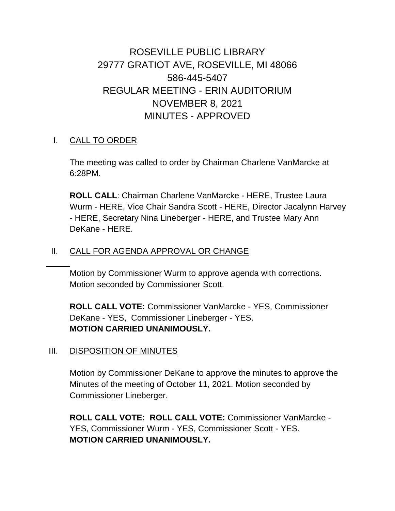# ROSEVILLE PUBLIC LIBRARY 29777 GRATIOT AVE, ROSEVILLE, MI 48066 586-445-5407 REGULAR MEETING - ERIN AUDITORIUM NOVEMBER 8, 2021 MINUTES - APPROVED

### I. CALL TO ORDER

The meeting was called to order by Chairman Charlene VanMarcke at 6:28PM.

**ROLL CALL**: Chairman Charlene VanMarcke - HERE, Trustee Laura Wurm - HERE, Vice Chair Sandra Scott - HERE, Director Jacalynn Harvey - HERE, Secretary Nina Lineberger - HERE, and Trustee Mary Ann DeKane - HERE.

### II. CALL FOR AGENDA APPROVAL OR CHANGE

Motion by Commissioner Wurm to approve agenda with corrections. Motion seconded by Commissioner Scott.

**ROLL CALL VOTE:** Commissioner VanMarcke - YES, Commissioner DeKane - YES, Commissioner Lineberger - YES. **MOTION CARRIED UNANIMOUSLY.**

### III. DISPOSITION OF MINUTES

Motion by Commissioner DeKane to approve the minutes to approve the Minutes of the meeting of October 11, 2021. Motion seconded by Commissioner Lineberger.

**ROLL CALL VOTE: ROLL CALL VOTE:** Commissioner VanMarcke - YES, Commissioner Wurm - YES, Commissioner Scott - YES. **MOTION CARRIED UNANIMOUSLY.**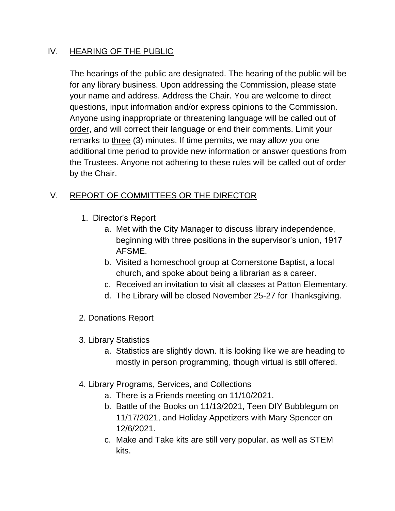### IV. HEARING OF THE PUBLIC

The hearings of the public are designated. The hearing of the public will be for any library business. Upon addressing the Commission, please state your name and address. Address the Chair. You are welcome to direct questions, input information and/or express opinions to the Commission. Anyone using inappropriate or threatening language will be called out of order, and will correct their language or end their comments. Limit your remarks to three (3) minutes. If time permits, we may allow you one additional time period to provide new information or answer questions from the Trustees. Anyone not adhering to these rules will be called out of order by the Chair.

# V. REPORT OF COMMITTEES OR THE DIRECTOR

- 1. Director's Report
	- a. Met with the City Manager to discuss library independence, beginning with three positions in the supervisor's union, 1917 AFSME.
	- b. Visited a homeschool group at Cornerstone Baptist, a local church, and spoke about being a librarian as a career.
	- c. Received an invitation to visit all classes at Patton Elementary.
	- d. The Library will be closed November 25-27 for Thanksgiving.
- 2. Donations Report
- 3. Library Statistics
	- a. Statistics are slightly down. It is looking like we are heading to mostly in person programming, though virtual is still offered.
- 4. Library Programs, Services, and Collections
	- a. There is a Friends meeting on 11/10/2021.
	- b. Battle of the Books on 11/13/2021, Teen DIY Bubblegum on 11/17/2021, and Holiday Appetizers with Mary Spencer on 12/6/2021.
	- c. Make and Take kits are still very popular, as well as STEM kits.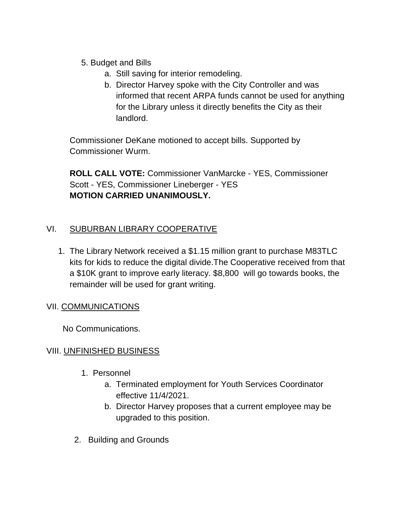- 5. Budget and Bills
	- a. Still saving for interior remodeling.
	- b. Director Harvey spoke with the City Controller and was informed that recent ARPA funds cannot be used for anything for the Library unless it directly benefits the City as their landlord.

Commissioner DeKane motioned to accept bills. Supported by Commissioner Wurm.

**ROLL CALL VOTE:** Commissioner VanMarcke - YES, Commissioner Scott - YES, Commissioner Lineberger - YES **MOTION CARRIED UNANIMOUSLY.**

## VI. SUBURBAN LIBRARY COOPERATIVE

1. The Library Network received a \$1.15 million grant to purchase M83TLC kits for kids to reduce the digital divide.The Cooperative received from that a \$10K grant to improve early literacy. \$8,800 will go towards books, the remainder will be used for grant writing.

### VII. COMMUNICATIONS

No Communications.

### VIII. UNFINISHED BUSINESS

- 1. Personnel
	- a. Terminated employment for Youth Services Coordinator effective 11/4/2021.
	- b. Director Harvey proposes that a current employee may be upgraded to this position.
- 2. Building and Grounds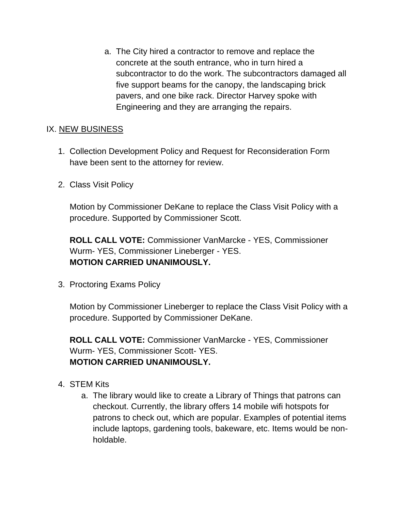a. The City hired a contractor to remove and replace the concrete at the south entrance, who in turn hired a subcontractor to do the work. The subcontractors damaged all five support beams for the canopy, the landscaping brick pavers, and one bike rack. Director Harvey spoke with Engineering and they are arranging the repairs.

### IX. NEW BUSINESS

- 1. Collection Development Policy and Request for Reconsideration Form have been sent to the attorney for review.
- 2. Class Visit Policy

Motion by Commissioner DeKane to replace the Class Visit Policy with a procedure. Supported by Commissioner Scott.

**ROLL CALL VOTE:** Commissioner VanMarcke - YES, Commissioner Wurm- YES, Commissioner Lineberger - YES. **MOTION CARRIED UNANIMOUSLY.**

3. Proctoring Exams Policy

Motion by Commissioner Lineberger to replace the Class Visit Policy with a procedure. Supported by Commissioner DeKane.

**ROLL CALL VOTE:** Commissioner VanMarcke - YES, Commissioner Wurm- YES, Commissioner Scott- YES. **MOTION CARRIED UNANIMOUSLY.**

- 4. STEM Kits
	- a. The library would like to create a Library of Things that patrons can checkout. Currently, the library offers 14 mobile wifi hotspots for patrons to check out, which are popular. Examples of potential items include laptops, gardening tools, bakeware, etc. Items would be nonholdable.